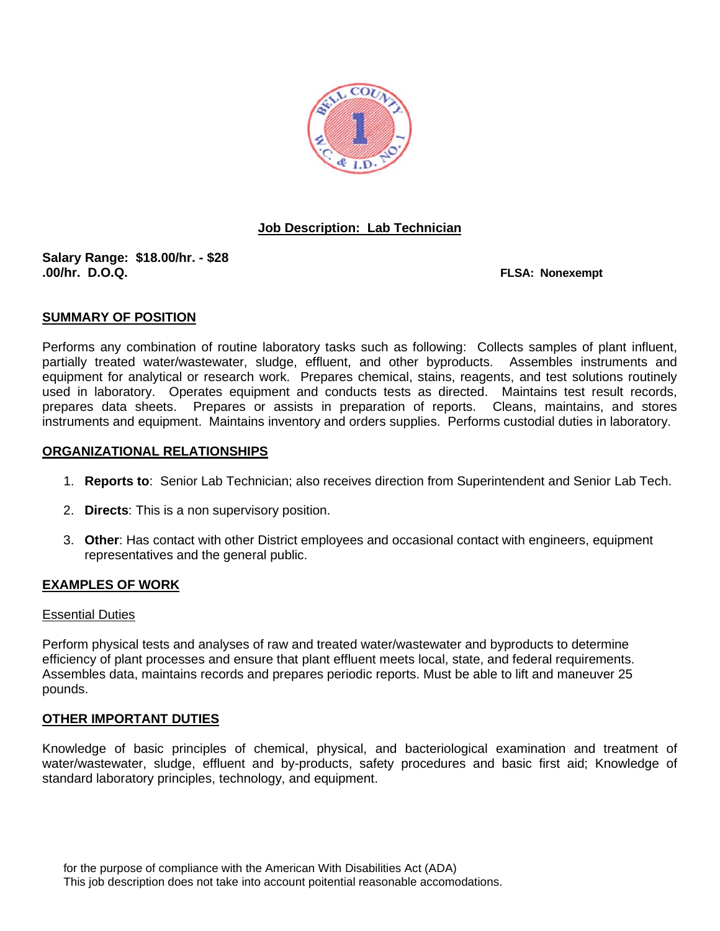

## **Job Description: Lab Technician**

# **Salary Range: \$18.00/hr. - \$28**

**FLSA: Nonexempt** 

#### **SUMMARY OF POSITION**

Performs any combination of routine laboratory tasks such as following: Collects samples of plant influent, partially treated water/wastewater, sludge, effluent, and other byproducts. Assembles instruments and equipment for analytical or research work. Prepares chemical, stains, reagents, and test solutions routinely used in laboratory. Operates equipment and conducts tests as directed. Maintains test result records, prepares data sheets. Prepares or assists in preparation of reports. Cleans, maintains, and stores instruments and equipment. Maintains inventory and orders supplies. Performs custodial duties in laboratory.

#### **ORGANIZATIONAL RELATIONSHIPS**

- 1. **Reports to**: Senior Lab Technician; also receives direction from Superintendent and Senior Lab Tech.
- 2. **Directs**: This is a non supervisory position.
- 3. **Other**: Has contact with other District employees and occasional contact with engineers, equipment representatives and the general public.

### **EXAMPLES OF WORK**

#### Essential Duties

Perform physical tests and analyses of raw and treated water/wastewater and byproducts to determine efficiency of plant processes and ensure that plant effluent meets local, state, and federal requirements. Assembles data, maintains records and prepares periodic reports. Must be able to lift and maneuver 25 pounds.

#### **OTHER IMPORTANT DUTIES**

Knowledge of basic principles of chemical, physical, and bacteriological examination and treatment of water/wastewater, sludge, effluent and by-products, safety procedures and basic first aid; Knowledge of standard laboratory principles, technology, and equipment.